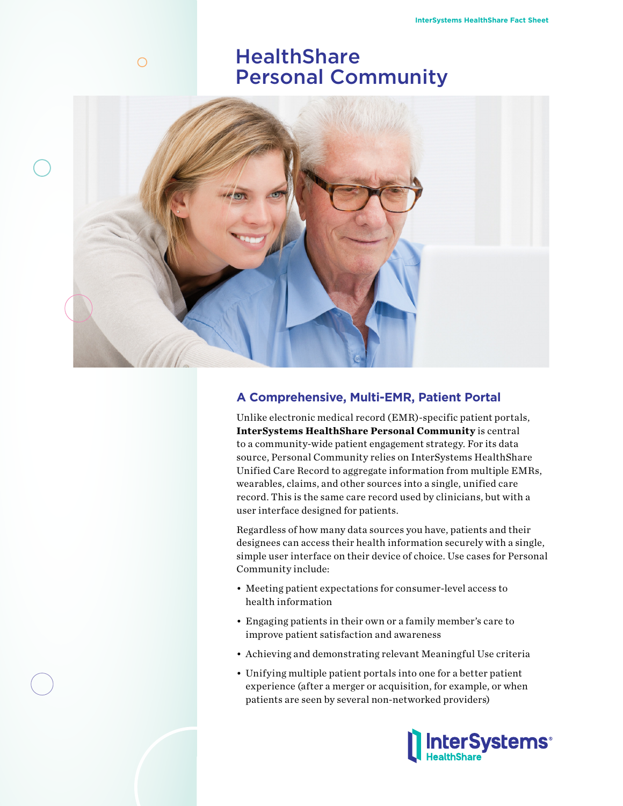# **HealthShare** Personal Community



# **A Comprehensive, Multi-EMR, Patient Portal**

Unlike electronic medical record (EMR)-specific patient portals, **InterSystems HealthShare Personal Community** is central to a community-wide patient engagement strategy. For its data source, Personal Community relies on InterSystems HealthShare Unified Care Record to aggregate information from multiple EMRs, wearables, claims, and other sources into a single, unified care record. This is the same care record used by clinicians, but with a user interface designed for patients.

Regardless of how many data sources you have, patients and their designees can access their health information securely with a single, simple user interface on their device of choice. Use cases for Personal Community include:

- Meeting patient expectations for consumer-level access to health information
- Engaging patients in their own or a family member's care to improve patient satisfaction and awareness
- Achieving and demonstrating relevant Meaningful Use criteria
- Unifying multiple patient portals into one for a better patient experience (after a merger or acquisition, for example, or when patients are seen by several non-networked providers)



 $\bigcirc$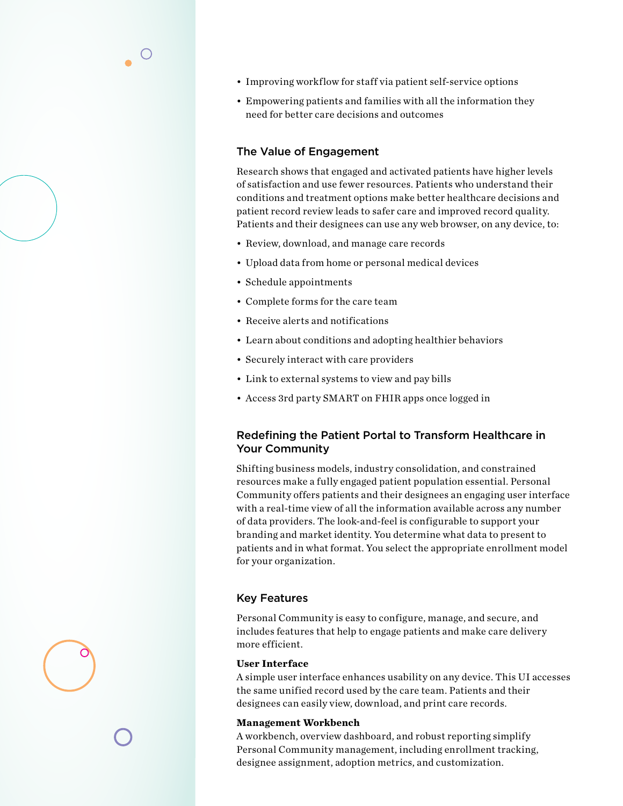- Improving workflow for staff via patient self-service options
- Empowering patients and families with all the information they need for better care decisions and outcomes

# The Value of Engagement

Research shows that engaged and activated patients have higher levels of satisfaction and use fewer resources. Patients who understand their conditions and treatment options make better healthcare decisions and patient record review leads to safer care and improved record quality. Patients and their designees can use any web browser, on any device, to:

- Review, download, and manage care records
- Upload data from home or personal medical devices
- Schedule appointments
- Complete forms for the care team
- Receive alerts and notifications
- Learn about conditions and adopting healthier behaviors
- Securely interact with care providers
- Link to external systems to view and pay bills
- Access 3rd party SMART on FHIR apps once logged in

# Redefining the Patient Portal to Transform Healthcare in Your Community

Shifting business models, industry consolidation, and constrained resources make a fully engaged patient population essential. Personal Community offers patients and their designees an engaging user interface with a real-time view of all the information available across any number of data providers. The look-and-feel is configurable to support your branding and market identity. You determine what data to present to patients and in what format. You select the appropriate enrollment model for your organization.

# Key Features

Personal Community is easy to configure, manage, and secure, and includes features that help to engage patients and make care delivery more efficient.

## **User Interface**

A simple user interface enhances usability on any device. This UI accesses the same unified record used by the care team. Patients and their designees can easily view, download, and print care records.

#### **Management Workbench**

A workbench, overview dashboard, and robust reporting simplify Personal Community management, including enrollment tracking, designee assignment, adoption metrics, and customization.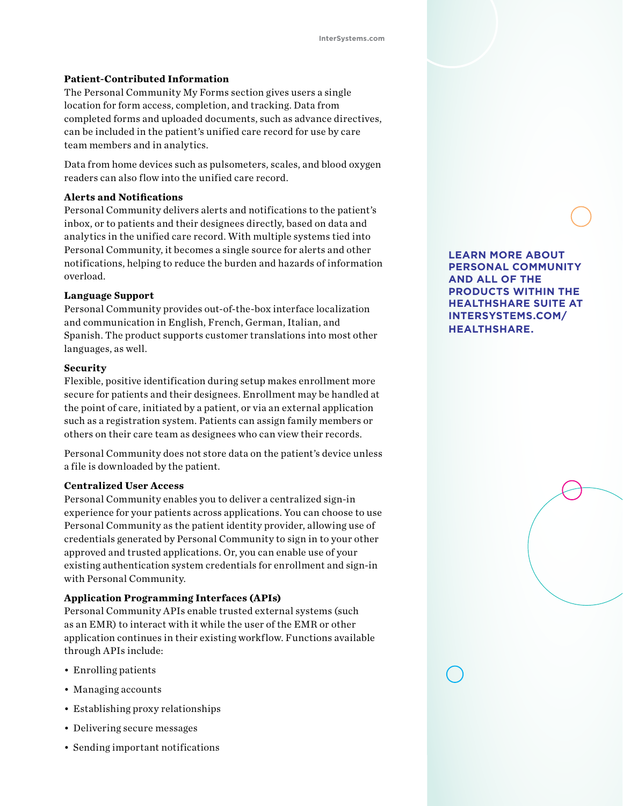## **Patient-Contributed Information**

The Personal Community My Forms section gives users a single location for form access, completion, and tracking. Data from completed forms and uploaded documents, such as advance directives, can be included in the patient's unified care record for use by care team members and in analytics.

Data from home devices such as pulsometers, scales, and blood oxygen readers can also flow into the unified care record.

## **Alerts and Notifications**

Personal Community delivers alerts and notifications to the patient's inbox, or to patients and their designees directly, based on data and analytics in the unified care record. With multiple systems tied into Personal Community, it becomes a single source for alerts and other notifications, helping to reduce the burden and hazards of information overload.

## **Language Support**

Personal Community provides out-of-the-box interface localization and communication in English, French, German, Italian, and Spanish. The product supports customer translations into most other languages, as well.

#### **Security**

Flexible, positive identification during setup makes enrollment more secure for patients and their designees. Enrollment may be handled at the point of care, initiated by a patient, or via an external application such as a registration system. Patients can assign family members or others on their care team as designees who can view their records.

Personal Community does not store data on the patient's device unless a file is downloaded by the patient.

#### **Centralized User Access**

Personal Community enables you to deliver a centralized sign-in experience for your patients across applications. You can choose to use Personal Community as the patient identity provider, allowing use of credentials generated by Personal Community to sign in to your other approved and trusted applications. Or, you can enable use of your existing authentication system credentials for enrollment and sign-in with Personal Community.

### **Application Programming Interfaces (APIs)**

Personal Community APIs enable trusted external systems (such as an EMR) to interact with it while the user of the EMR or other application continues in their existing workflow. Functions available through APIs include:

- Enrolling patients
- Managing accounts
- Establishing proxy relationships
- Delivering secure messages
- Sending important notifications

**LEARN MORE ABOUT PERSONAL COMMUNITY AND ALL OF THE PRODUCTS WITHIN THE HEALTHSHARE SUITE AT INTERSYSTEMS.COM/ HEALTHSHARE.**